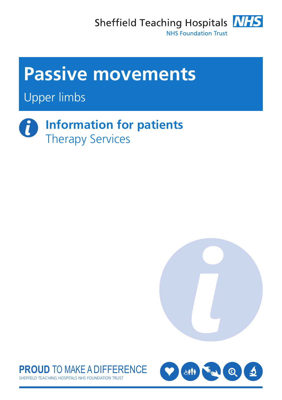Sheffield Teaching Hospitals **NHS NHS Foundation Trust** 



Upper limbs

**Information for patients**  $\mathbf{i}$ Therapy Services





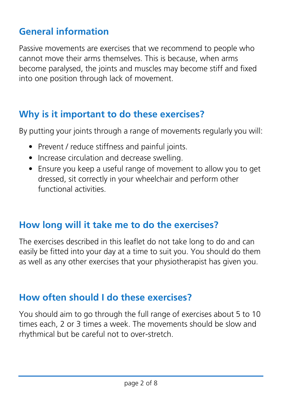# **General information**

Passive movements are exercises that we recommend to people who cannot move their arms themselves. This is because, when arms become paralysed, the joints and muscles may become stiff and fixed into one position through lack of movement.

# **Why is it important to do these exercises?**

By putting your joints through a range of movements regularly you will:

- Prevent / reduce stiffness and painful joints.
- Increase circulation and decrease swelling.
- Ensure you keep a useful range of movement to allow you to get dressed, sit correctly in your wheelchair and perform other functional activities.

## **How long will it take me to do the exercises?**

The exercises described in this leaflet do not take long to do and can easily be fitted into your day at a time to suit you. You should do them as well as any other exercises that your physiotherapist has given you.

## **How often should I do these exercises?**

You should aim to go through the full range of exercises about 5 to 10 times each, 2 or 3 times a week. The movements should be slow and rhythmical but be careful not to over-stretch.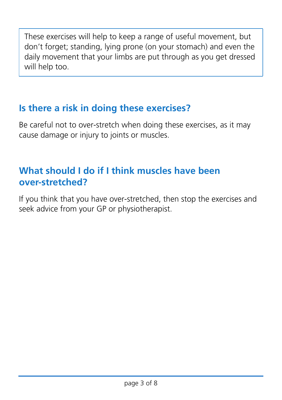These exercises will help to keep a range of useful movement, but don't forget; standing, lying prone (on your stomach) and even the daily movement that your limbs are put through as you get dressed will help too.

# **Is there a risk in doing these exercises?**

Be careful not to over-stretch when doing these exercises, as it may cause damage or injury to joints or muscles.

# **What should I do if I think muscles have been over-stretched?**

If you think that you have over-stretched, then stop the exercises and seek advice from your GP or physiotherapist.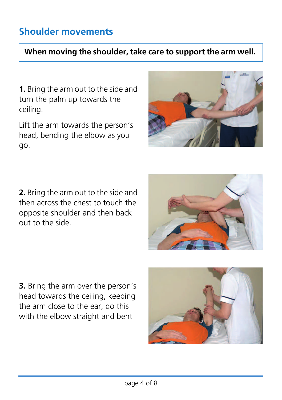# **Shoulder movements**

### **When moving the shoulder, take care to support the arm well.**

**1.** Bring the arm out to the side and turn the palm up towards the ceiling.

Lift the arm towards the person's head, bending the elbow as you go.



**2.** Bring the arm out to the side and then across the chest to touch the opposite shoulder and then back out to the side.

**3.** Bring the arm over the person's head towards the ceiling, keeping the arm close to the ear, do this with the elbow straight and bent

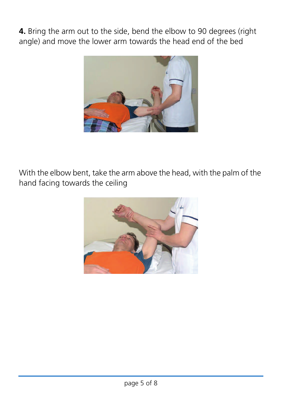**4.** Bring the arm out to the side, bend the elbow to 90 degrees (right angle) and move the lower arm towards the head end of the bed



With the elbow bent, take the arm above the head, with the palm of the hand facing towards the ceiling

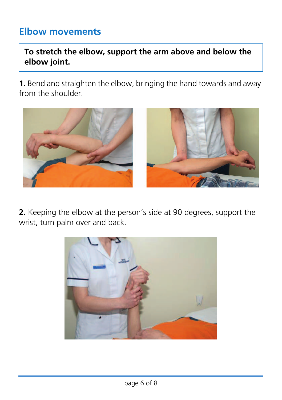## **Elbow movements**

**To stretch the elbow, support the arm above and below the elbow joint.**

**1.** Bend and straighten the elbow, bringing the hand towards and away from the shoulder.



**2.** Keeping the elbow at the person's side at 90 degrees, support the wrist, turn palm over and back.

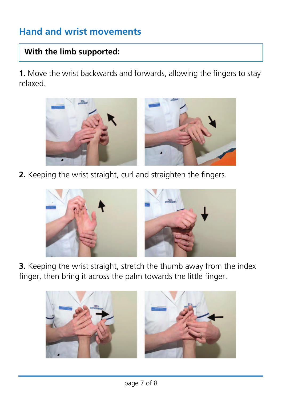# **Hand and wrist movements**

### **With the limb supported:**

**1.** Move the wrist backwards and forwards, allowing the fingers to stay relaxed.



**2.** Keeping the wrist straight, curl and straighten the fingers.



**3.** Keeping the wrist straight, stretch the thumb away from the index finger, then bring it across the palm towards the little finger.